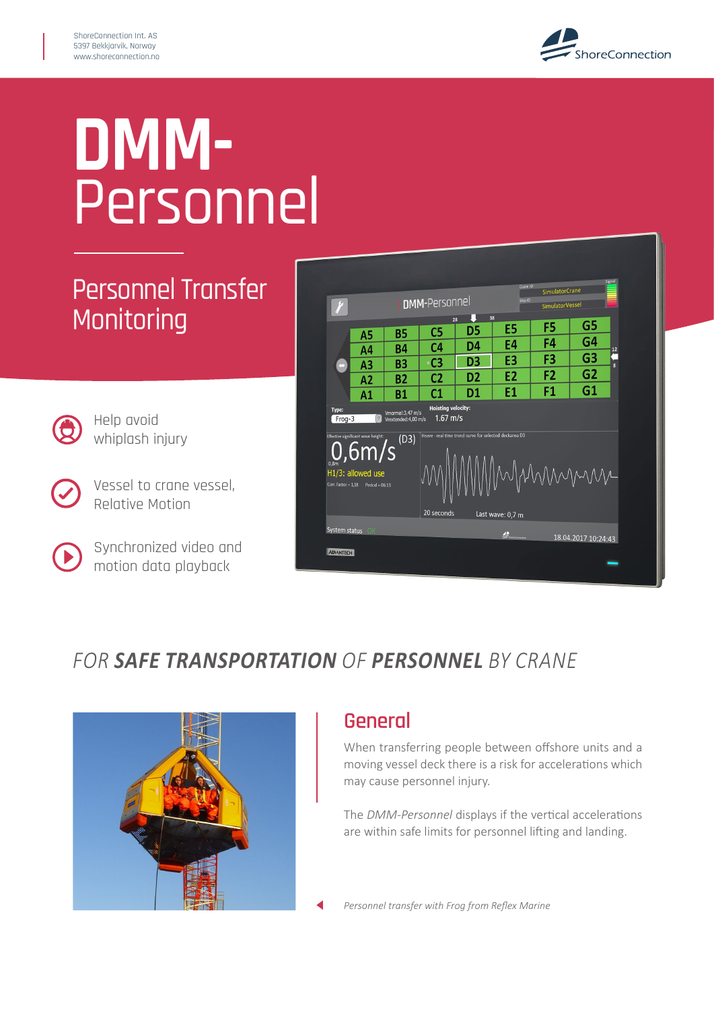

# **DMM-**Personnel

## Personnel Transfer **Monitoring**



Help avoid whiplash injury

Vessel to crane vessel, Relative Motion

Synchronized video and motion data playback



### *FOR* SAFE TRANSPORTATION OF PERSONNEL BY CRANE



#### **General**

When transferring people between offshore units and a moving vessel deck there is a risk for accelerations which may cause personnel injury.

The *DMM-Personnel* displays if the vertical accelerations are within safe limits for personnel lifting and landing.

*Personnel transfer with Frog from Reflex Marine*